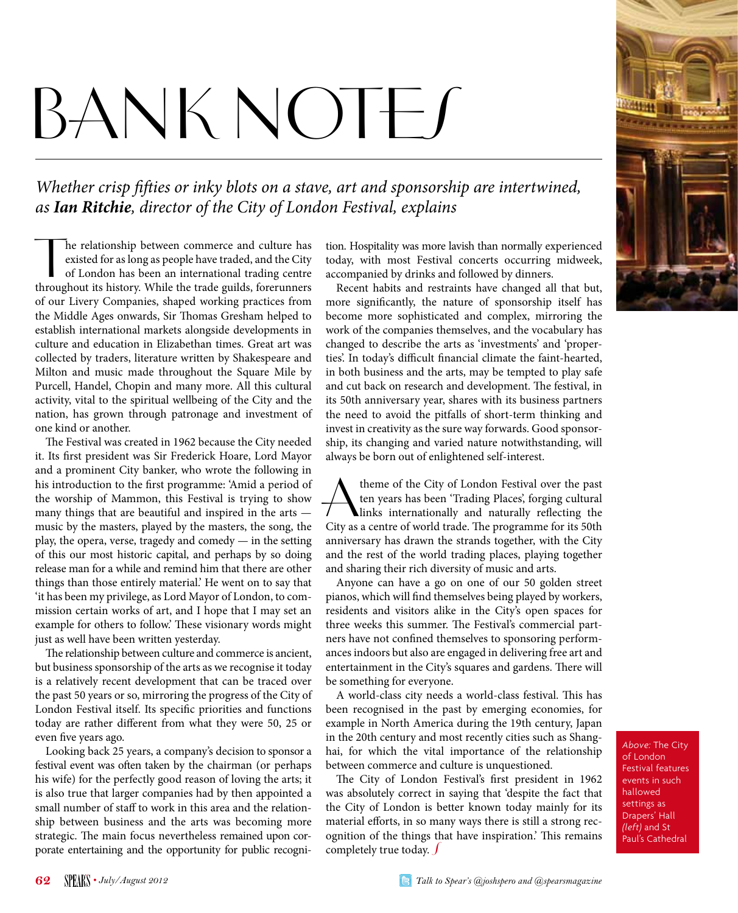# BANK NOTES

*Whether crisp fifties or inky blots on a stave, art and sponsorship are intertwined, as Ian Ritchie, director of the City of London Festival, explains*

The relationship between commerce and culture has<br>existed for as long as people have traded, and the City<br>of London has been an international trading centre<br>throughout its history. While the trade guilds, forerunners he relationship between commerce and culture has existed for as long as people have traded, and the City of London has been an international trading centre of our Livery Companies, shaped working practices from the Middle Ages onwards, Sir Thomas Gresham helped to establish international markets alongside developments in culture and education in Elizabethan times. Great art was collected by traders, literature written by Shakespeare and Milton and music made throughout the Square Mile by Purcell, Handel, Chopin and many more. All this cultural activity, vital to the spiritual wellbeing of the City and the nation, has grown through patronage and investment of one kind or another.

The Festival was created in 1962 because the City needed it. Its first president was Sir Frederick Hoare, Lord Mayor and a prominent City banker, who wrote the following in his introduction to the first programme: 'Amid a period of the worship of Mammon, this Festival is trying to show many things that are beautiful and inspired in the arts music by the masters, played by the masters, the song, the play, the opera, verse, tragedy and comedy — in the setting of this our most historic capital, and perhaps by so doing release man for a while and remind him that there are other things than those entirely material.' He went on to say that 'it has been my privilege, as Lord Mayor of London, to commission certain works of art, and I hope that I may set an example for others to follow.' These visionary words might just as well have been written yesterday.

The relationship between culture and commerce is ancient, but business sponsorship of the arts as we recognise it today is a relatively recent development that can be traced over the past 50 years or so, mirroring the progress of the City of London Festival itself. Its specific priorities and functions today are rather different from what they were 50, 25 or even five years ago.

Looking back 25 years, a company's decision to sponsor a festival event was often taken by the chairman (or perhaps his wife) for the perfectly good reason of loving the arts; it is also true that larger companies had by then appointed a small number of staff to work in this area and the relationship between business and the arts was becoming more strategic. The main focus nevertheless remained upon corporate entertaining and the opportunity for public recognition. Hospitality was more lavish than normally experienced today, with most Festival concerts occurring midweek, accompanied by drinks and followed by dinners.

Recent habits and restraints have changed all that but, more significantly, the nature of sponsorship itself has become more sophisticated and complex, mirroring the work of the companies themselves, and the vocabulary has changed to describe the arts as 'investments' and 'properties'. In today's difficult financial climate the faint-hearted, in both business and the arts, may be tempted to play safe and cut back on research and development. The festival, in its 50th anniversary year, shares with its business partners the need to avoid the pitfalls of short-term thinking and invest in creativity as the sure way forwards. Good sponsorship, its changing and varied nature notwithstanding, will always be born out of enlightened self-interest.

Atheme of the City of London Festival over the past<br>
links internationally and naturally reflecting the<br>
City as a centre of world trade. The programme for its 50th ten years has been 'Trading Places', forging cultural City as a centre of world trade. The programme for its 50th anniversary has drawn the strands together, with the City and the rest of the world trading places, playing together and sharing their rich diversity of music and arts.

Anyone can have a go on one of our 50 golden street pianos, which will find themselves being played by workers, residents and visitors alike in the City's open spaces for three weeks this summer. The Festival's commercial partners have not confined themselves to sponsoring performances indoors but also are engaged in delivering free art and entertainment in the City's squares and gardens. There will be something for everyone.

A world-class city needs a world-class festival. This has been recognised in the past by emerging economies, for example in North America during the 19th century, Japan in the 20th century and most recently cities such as Shanghai, for which the vital importance of the relationship between commerce and culture is unquestioned.

completely true today.  $\int$ The City of London Festival's first president in 1962 was absolutely correct in saying that 'despite the fact that the City of London is better known today mainly for its material efforts, in so many ways there is still a strong recognition of the things that have inspiration.' This remains